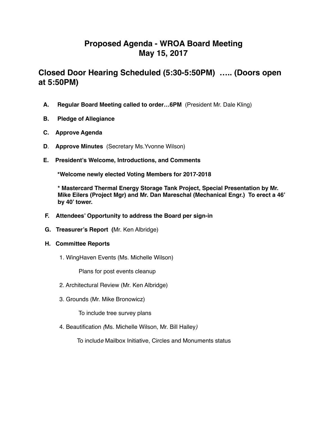# **Proposed Agenda - WROA Board Meeting May 15, 2017**

## **Closed Door Hearing Scheduled (5:30-5:50PM) ….. (Doors open at 5:50PM)**

- **A. Regular Board Meeting called to order…6PM** (President Mr. Dale Kling)
- **B. Pledge of Allegiance**
- **C. Approve Agenda**
- **D**. **Approve Minutes** (Secretary Ms.Yvonne Wilson)
- **E. President's Welcome, Introductions, and Comments**

**\*Welcome newly elected Voting Members for 2017-2018** 

 **\* Mastercard Thermal Energy Storage Tank Project, Special Presentation by Mr. Mike Eilers (Project Mgr) and Mr. Dan Mareschal (Mechanical Engr.) To erect a 46' by 40' tower.**

- **F. Attendees' Opportunity to address the Board per sign-in**
- **G. Treasurer's Report (**Mr. Ken Albridge)
- **H. Committee Reports** 
	- 1. WingHaven Events (Ms. Michelle Wilson)

Plans for post events cleanup

- 2. Architectural Review (Mr. Ken Albridge)
- 3. Grounds (Mr. Mike Bronowicz)

To include tree survey plans

4. Beautification *(*Ms*.* Michelle Wilson, Mr. Bill Halley*)*

To includ*e* Mailbox Initiative, Circles and Monuments status